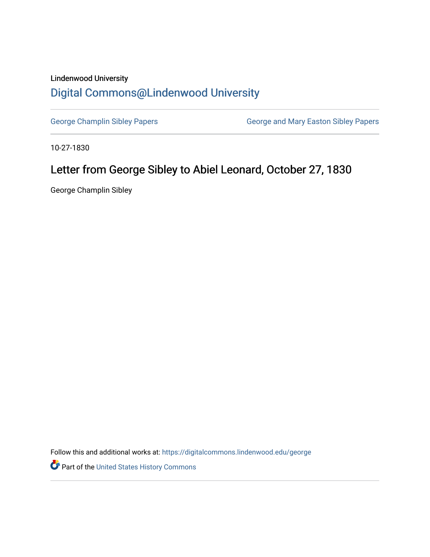## Lindenwood University [Digital Commons@Lindenwood University](https://digitalcommons.lindenwood.edu/)

[George Champlin Sibley Papers](https://digitalcommons.lindenwood.edu/george) **George and Mary Easton Sibley Papers** George and Mary Easton Sibley Papers

10-27-1830

## Letter from George Sibley to Abiel Leonard, October 27, 1830

George Champlin Sibley

Follow this and additional works at: [https://digitalcommons.lindenwood.edu/george](https://digitalcommons.lindenwood.edu/george?utm_source=digitalcommons.lindenwood.edu%2Fgeorge%2F293&utm_medium=PDF&utm_campaign=PDFCoverPages)

Part of the [United States History Commons](http://network.bepress.com/hgg/discipline/495?utm_source=digitalcommons.lindenwood.edu%2Fgeorge%2F293&utm_medium=PDF&utm_campaign=PDFCoverPages)